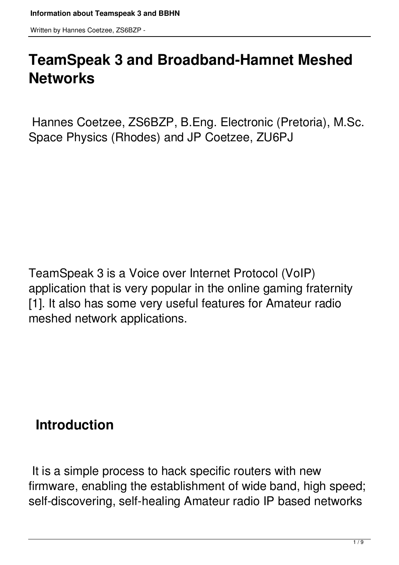# **TeamSpeak 3 and Broadband-Hamnet Meshed Networks**

 Hannes Coetzee, ZS6BZP, B.Eng. Electronic (Pretoria), M.Sc. Space Physics (Rhodes) and JP Coetzee, ZU6PJ

TeamSpeak 3 is a Voice over Internet Protocol (VoIP) application that is very popular in the online gaming fraternity [1]. It also has some very useful features for Amateur radio meshed network applications.

## **Introduction**

 It is a simple process to hack specific routers with new firmware, enabling the establishment of wide band, high speed; self-discovering, self-healing Amateur radio IP based networks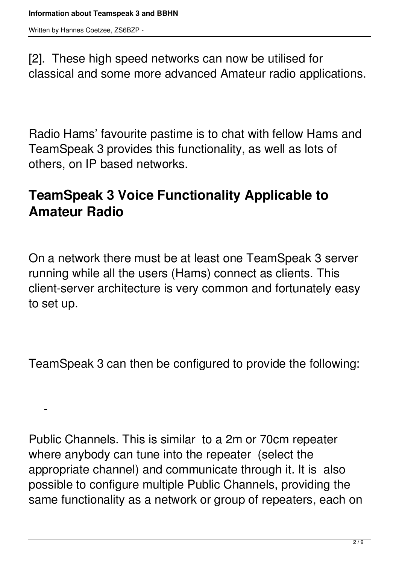$\sim$ 

[2]. These high speed networks can now be utilised for classical and some more advanced Amateur radio applications.

Radio Hams' favourite pastime is to chat with fellow Hams and TeamSpeak 3 provides this functionality, as well as lots of others, on IP based networks.

#### **TeamSpeak 3 Voice Functionality Applicable to Amateur Radio**

On a network there must be at least one TeamSpeak 3 server running while all the users (Hams) connect as clients. This client-server architecture is very common and fortunately easy to set up.

TeamSpeak 3 can then be configured to provide the following:

Public Channels. This is similar to a 2m or 70cm repeater where anybody can tune into the repeater (select the appropriate channel) and communicate through it. It is also possible to configure multiple Public Channels, providing the same functionality as a network or group of repeaters, each on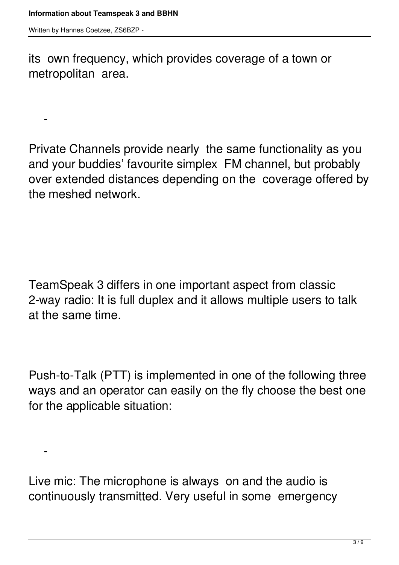$\sim$ 

 $\sim$ 

its own frequency, which provides coverage of a town or metropolitan area.

Private Channels provide nearly the same functionality as you and your buddies' favourite simplex FM channel, but probably over extended distances depending on the coverage offered by the meshed network.

TeamSpeak 3 differs in one important aspect from classic 2-way radio: It is full duplex and it allows multiple users to talk at the same time.

Push-to-Talk (PTT) is implemented in one of the following three ways and an operator can easily on the fly choose the best one for the applicable situation:

Live mic: The microphone is always on and the audio is continuously transmitted. Very useful in some emergency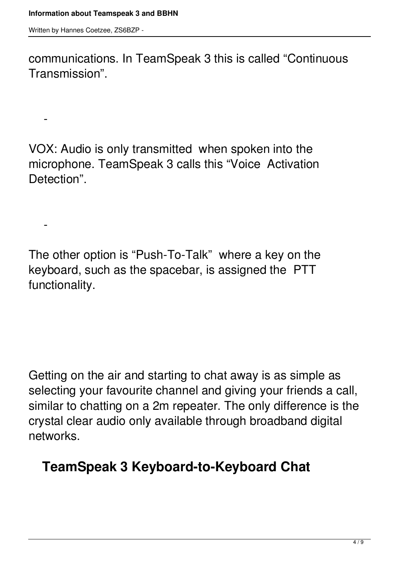$\sim$ 

 $\sim$ 

communications. In TeamSpeak 3 this is called "Continuous Transmission".

VOX: Audio is only transmitted when spoken into the microphone. TeamSpeak 3 calls this "Voice Activation Detection".

The other option is "Push-To-Talk" where a key on the keyboard, such as the spacebar, is assigned the PTT functionality.

Getting on the air and starting to chat away is as simple as selecting your favourite channel and giving your friends a call, similar to chatting on a 2m repeater. The only difference is the crystal clear audio only available through broadband digital networks.

#### **TeamSpeak 3 Keyboard-to-Keyboard Chat**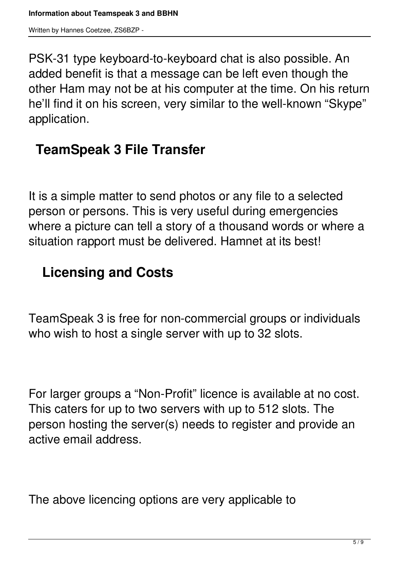PSK-31 type keyboard-to-keyboard chat is also possible. An added benefit is that a message can be left even though the other Ham may not be at his computer at the time. On his return he'll find it on his screen, very similar to the well-known "Skype" application.

#### **TeamSpeak 3 File Transfer**

It is a simple matter to send photos or any file to a selected person or persons. This is very useful during emergencies where a picture can tell a story of a thousand words or where a situation rapport must be delivered. Hamnet at its best!

#### **Licensing and Costs**

TeamSpeak 3 is free for non-commercial groups or individuals who wish to host a single server with up to 32 slots.

For larger groups a "Non-Profit" licence is available at no cost. This caters for up to two servers with up to 512 slots. The person hosting the server(s) needs to register and provide an active email address.

The above licencing options are very applicable to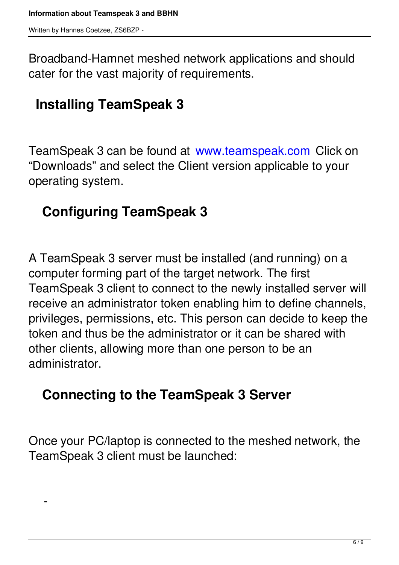$\sim$ 

Broadband-Hamnet meshed network applications and should cater for the vast majority of requirements.

## **Installing TeamSpeak 3**

TeamSpeak 3 can be found at www.teamspeak.com Click on "Downloads" and select the Client version applicable to your operating system.

## **Configuring TeamSpeak 3**

A TeamSpeak 3 server must be installed (and running) on a computer forming part of the target network. The first TeamSpeak 3 client to connect to the newly installed server will receive an administrator token enabling him to define channels, privileges, permissions, etc. This person can decide to keep the token and thus be the administrator or it can be shared with other clients, allowing more than one person to be an administrator.

#### **Connecting to the TeamSpeak 3 Server**

Once your PC/laptop is connected to the meshed network, the TeamSpeak 3 client must be launched: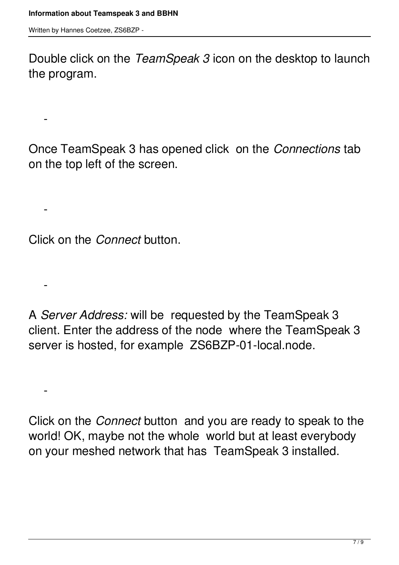$\sim$ 

 $\sim$ 

 $\sim$ 

 $\sim$ 

Double click on the *TeamSpeak 3* icon on the desktop to launch the program.

Once TeamSpeak 3 has opened click on the *Connections* tab on the top left of the screen.

Click on the *Connect* button.

A *Server Address:* will be requested by the TeamSpeak 3 client. Enter the address of the node where the TeamSpeak 3 server is hosted, for example ZS6BZP-01-local.node.

Click on the *Connect* button and you are ready to speak to the world! OK, maybe not the whole world but at least everybody on your meshed network that has TeamSpeak 3 installed.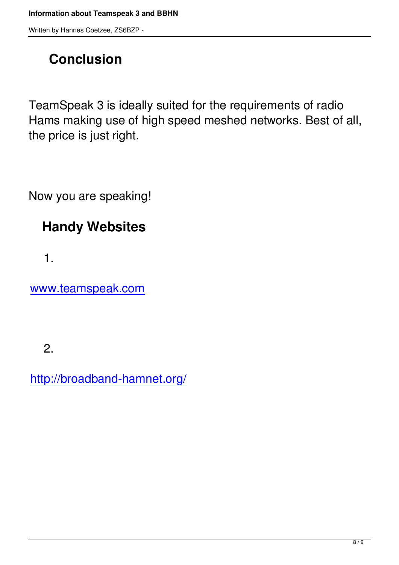## **Conclusion**

TeamSpeak 3 is ideally suited for the requirements of radio Hams making use of high speed meshed networks. Best of all, the price is just right.

Now you are speaking!

## **Handy Websites**

1.

www.teamspeak.com

2.

http://broadband-hamnet.org/